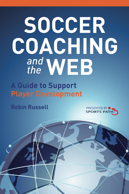# SOCCER COACHING and WEB

**A Guide to Support Player Development** 

**Robin Russell** 



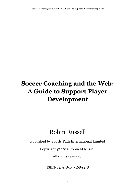## **Soccer Coaching and the Web: A Guide to Support Player Development**

### Robin Russell

Published by Sports Path International Limited

Copyright © 2013 Robin M Russell

All rights reserved.

ISBN-13: 978-1493689378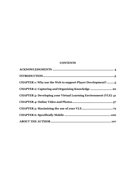#### **CONTENTS**

| CHAPTER 1: Why use the Web to support Player Development?               |
|-------------------------------------------------------------------------|
| CHAPTER 2: Capturing and Organizing Knowledge  20                       |
| <b>CHAPTER 3: Developing your Virtual Learning Environment (VLE) 41</b> |
|                                                                         |
|                                                                         |
|                                                                         |
|                                                                         |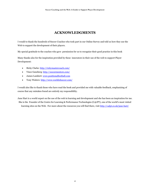#### **ACKNOWLEDGMENTS**

<span id="page-3-0"></span>I would to thank the hundreds of Soccer Coaches who took part in our Online Survey and told us how they use the Web to support the development of their players.

My special gratitude to the coaches who gave permission for us to recognize their good practice in this book

Many thanks also for the inspiration provided by these innovators in their use of the web to support Player Development:

- Ricky Clarke[: http://rickymastercoach.com/](http://rickymastercoach.com/)
- Vince Ganzberg[: http://soccermentors.com/](http://soccermentors.com/)
- James Lambert[: www.positionalfootball.com](http://r20.rs6.net/tn.jsp?e=001ni1_Ov497F1VzDblv42N7mqafXtDO3CCArdr4KDPzSfV-mFYQ7VmraF_UhZDphII2Pss8JaLDBw0xsqNtEvD0Qain7poEfwcciGPwMzSgPQ_IjraeIqul_9oW7-6HFSK)
- Tony Waiters[: http://www.worldofsoccer.com/](http://www.worldofsoccer.com/)

I would also like to thank those who have read the book and provided me with valuable feedback, emphasizing of course that any mistakes found are entirely my responsibility.

Jane Hart is a world expert on the use of the web in learning and development and she has been an inspiration for me. She is the Founder of the Centre for Learning & Performance Technologies (C4LPT), one of the world's most visited learning sites on the Web. For more about the resources you will find there, visi[t http://c4lpt.co.uk/jane-hart/](http://c4lpt.co.uk/jane-hart/)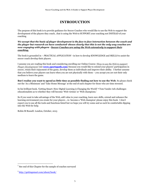#### **INTRODUCTION**

The purpose of this book is to provide guidance for Soccer Coaches who would like to use the Web to support the development of the players they coach…that is using the Web to SUPPORT your coaching not INSTEAD of your coaching

*We accept that the basis of player development is the face to face interaction between the coach and the player but research we have conducted<sup>1</sup> shows clearly that this is not the only way coaches are now engaging with players - Soccer Coaches are using the Web extensively to support their coaching.*

The book is grounded in – *PRACTICAL APPLICATION* –in how to develop KNOWLEDGE and SKILLS to assist the soccer coach develop their players.

I assume you are reading this book and considering enrolling our Online Course: *'How to use the Web to support Player Development'* (see **[www.sportspath.com](http://www.sportspath.com/)**) because you would like to extend your players' participation in soccer, retain their enjoyment of the game, develop them as individuals and improve their ability. I further assume that you believe your players can learn when you are not physically with them – you accept you are not their only medium to learn the game.

**But I realize you want to spend as little time as possible finding out how to use the Web**. So please check out the 'As a Minimum' and 'Take Home Message' at the end of each chapter for those who are time stressed.

In his brilliant book, 'Getting Smart: How Digital Learning is Changing the World' **<sup>2</sup>** Tom Vander Ark challenges educationalists as to whether they will become 'Web victims' or 'Web champions.'

So if you want to take advantage of the Web, add value to your coaching, learn new skills, extend and enhance the learning environment you create for your players …to become a 'Web champion' please enjoy this book. I don't expect you to use all the tools and functions listed but we hope you will try some and as such be comfortable dipping into the Web for help.

Robin M Russell. London, October, 2013

 $\overline{a}$ 

<sup>&</sup>lt;sup>1</sup> See end of this Chapter for the sample of coaches surveyed

<sup>&</sup>lt;sup>2</sup> <http://gettingsmart.com/about/book/>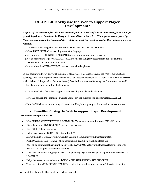#### **CHAPTER 1: Why use the Web to support Player Development?**

*As part of the research for this book we analyzed the results of our online survey from over 500 practicing Soccer Coaches <sup>3</sup> in Europe, Asia and North America. The top 5 reasons given by these coaches as to why they used the Web to support the development of their players were as follows:*

- 1.The Player is encouraged to take more OWNERSHIP of their own development.
- 2.It's an EXTENSION of the coaching session for the players.
- 3.An opportunity to REINFORCE MESSAGES when they are away from the coach.
- 4.It's an opportunity to provide ADDED VALUE to the coaching they receive from our club and this DIFFERENTIATES us from other clubs.
- 5.It maximizes the CONTACT TIME the coach has with the players.

In this book we will provide over 100 examples of how Soccer Coaches are using the Web to support their coaching: the examples provided are from all levels of Soccer (Grassroots, Recreational & Elite Youth Soccer as well as School, College and Professional Soccer) from both the male and female game from across the world. In this Chapter we aim to outline the following:

- The value of using the Web to support soccer coaching and player development.
- How this book and the companion Online Course develop skills for you to apply IMMEDIATELY!
- How the Web has become an integral part of our lifestyle and good practice in mainstream education.

#### **1. Benefits of Using the Web to support Player Development**

#### **10 Benefits for your Players**

- It's a SIMPLE, COST EFFECTIVE & CONVENIENT means of communication to ENGAGE them
- Gives them more RESPONSIBILTY for their own learning
- Can INSPIRE them to practice
- Helps make learning EXCITING its not PASSIVE
- Allows them to INTERACT with you and SHARE in a community with their teammates.
- PERSONALIZES their learning their personalized goals, homework and feedback
- You will be communicating with them in THEIR LANGUAGE as they will almost certainly use the Web ALREADY to support their general learning
- With ONLINE SUPPORT, players have the opportunity to gain knowledge through different MODES OF LEARNING
- Helps them recognize that learning is NOT A ONE TIME EVENT IT'S ONGOING!
- They can enjoy a FULL RANGE OF MEDIA– video, text, graphics, photos, audio & links to other sites.

 3 See end of this Chapter for the sample of coaches surveyed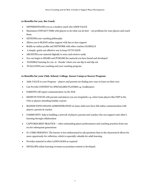#### **10 Benefits for you, the Coach**

- DIFFERENTIATES you as a modern coach who ADDS VALUE
- Maximizes CONTACT TIME with players to do what you do best set problems for your players and coach them
- EXTENDS your coaching philosophy
- Allows you to BLEND online support with face to face support
- Builds an online profile and NETWORK with other coaches GLOBALLY
- A simple, quick cost effective way to keep UP TO DATE
- ARCHIVES your material digitally to store and retrieve easily
- You can begin to SHARE and PUBLISH the material you have found and developed
- FLEXIBLE learning for you in 'chunks' where you can dip in and dip out
- EVALUATES your coaching and your coaching program.

#### **10 Benefits for your Club, School, College, Soccer Camp or Soccer Program**

- Adds VALUE to your Program players and parents are finding new ways to learn on their own
- Can Provide CONTENT for SPECIALISED PLAYERS e.g. Goalkeepers
- PARENTS will expect communication via the Web
- KEEPS IN TOUCH with parents and players you see irregularly e.g. select team players like ODP in the USA or players attending holiday courses
- BLENDS WITH ONLINE ADMINISTRATION as many clubs now have full online communication with players, parents & coaches
- COMMUNITY: help in building a network of players, parents and coaches who can support each other's learning through collaboration
- CAPTURES BEST PRACTICE video outstanding player performances and coaching practices from one era for subsequent generations
- It's USER FRIENDLY: The learner is less embarrassed to ask questions than in the classroom & allows for more opportunity for reflection, which is especially valuable for adult learning
- Provides material in other LANGUAGES as required
- DEVELOPS online learning revenues as premium content is developed.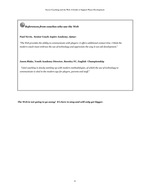# *References from coaches who use the Web*

#### **Paul Nevin, Senior Coach Aspire Academy, Qatar:**

*"The Web provides the ability to communicate with players: it offers additional contact time. I think the modern coach must embrace the use of technology and appreciate the way it can aid development."*

#### **Jason Blake, Youth Academy Director, Burnley FC, English Championship**

 *"I feel coaching is slowly catching up with modern methodologies, of which the use of technology to communicate is vital in the modern age for players, parents and staff."* 

*The Web is not going to go away! It's here to stay and will only get bigger.*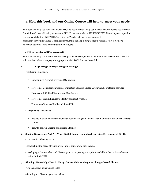#### **2. How this book and our Online Course will help to meet your needs**

This book will help you gain the KNOWLEDGE to use the Web – help you KNOW ABOUT how to use the Web. Our Online Course will help you learn the SKILLS to use the Web – RELEVANT SKILLS which you can put into use immediately: the KNOW HOW of using the Web to help player development.

*Implicit in the Online Course is that learners wish to develop a simple digital resource (e.g. a blog or a Facebook page) to share content with their players.*

#### **Which topics will be covered?**

This book will help you KNOW ABOUT the topics listed below, whilst on completion of the Online Course you will have learnt how to employ the appropriate Web TOOLS to use these skills:

#### **1. Capturing and Organizing Knowledge**

- Capturing Knowledge:
	- Developing a Network of Trusted Colleagues
	- How to use Content Monitoring, Notification Services, Screen Capture and Notetaking software
	- How to use RSS, Feed Readers and Newsletters
	- How to use Search Engines to identify specialist Websites
	- The value of Amazon Kindle and Free PDFs
- Organizing Knowledge:
	- How to manage Bookmarking, Social Bookmarking and Tagging to add, annotate, edit and share Web content
	- How to use File Sharing and Session Planners

#### **2. Sharing Knowledge Part A: : Your Digital Resource/ Virtual Learning Environment (VLE)**

- The benefits of having a VLE
- Establishing the needs of your players (and if appropriate their parents)
- Developing a Content Plan and Choosing a VLE : Exploring the options available the tools coaches are using for their VLE
- **3. Sharing Knowledge Part B: Using Online Video– 'the game changer' –and Photos**
	- The Benefits of using Online Video
	- Sourcing and Shooting your own Video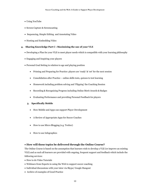- Using YouTube
- Screen Capture & Screencasting
- Sequencing, Simple Editing and Annotating Video
- Hosting and Embedding Video

#### **4. Sharing Knowledge Part C : Maximizing the use of your VLE**

- Developing a Plan for your VLE to meet player needs which is compatible with your learning philosophy
- Engaging and Inspiring your players
- Personal Goal Setting in relation to age and playing position
	- Priming and Preparing for Practice: players are 'ready' & 'set' for the next session
	- Consolidation after Practice online skills tests, quizzes to test learning
	- Homework including problem solving and 'Flipping' the Coaching Session
	- Recording & Recognizing Progress including Online Merit Awards & Badges
	- Evaluating Performance and providing Personal Feedback for players

#### **5. Specifically Mobile**

- How Mobile and Apps can support Player Development
- A Review of Appropriate Apps for Soccer Coaches
- How to use Micro Blogging (e.g. Twitter)
- How to use Infographics

#### **How will these topics be delivered through the Online Course?**

The Online Course is based on the assumption that learners wish to develop a VLE (or improve an existing VLE) and as such all learners are provided with ongoing, frequent support and feedback which include the following services:

- How to do Video Tutorials
- Webinars from Experts in using the Web to support soccer coaching
- Individual discussions with your tutor via Skype/ Google Hangout
- Archive of examples of Good Practice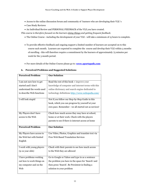- Access to the online discussion forum and community of learners who are developing their VLE 's
- Case Study Reviews
- An Individual Review and PERSONAL FEEDBACK of the VLE you have created.

*This course is therefore focused on the learners doing things and getting frequent feedback.*

- The Online Course –including the development of your VLE will take a minimum of 15 hours to complete.
- To provide effective feedback and ongoing support a limited number of learners are accepted on to this course each month. Learners are expected to complete the course and develop their VLE within 3 months of enrolling - this will therefore require a commitment by the learners of approximately 75 minutes per week for the 3 month period.
- For more details of the Online Course please go to: **[www.sportspath.com](http://www.sportspath.com/)**

#### **6. Perceived Problems and Suggested Solutions**

| <b>Perceived Problem</b>  | <b>Our Solution</b>                                                         |
|---------------------------|-----------------------------------------------------------------------------|
|                           |                                                                             |
| I am not sure how to get  | Read the rest of this book + improve your                                   |
| started and I don't       | knowledge of computer and internet terms with this                          |
| understand the words used | online dictionary and search engine dedicated to                            |
| to describe Web functions | technology definitions http://www.webopedia.com/                            |
|                           |                                                                             |
| I will look stupid        | Not if you follow our Step-by-Step Guide in this                            |
|                           | book, which you can progress by yourself at your                            |
|                           | own pace. Remember - we all started out as novices!                         |
|                           |                                                                             |
| My Players don't have     | Check how much access they may have at school,                              |
| access to the Web         | home or at their work. Check with the players                               |
|                           | parents to see if there is internet access at home                          |
|                           |                                                                             |
| <b>Perceived Problem</b>  | <b>Our Solution</b>                                                         |
| My Players have access to | Use Video, Photos, Graphics and translate text via                          |
|                           |                                                                             |
| the Web but with limited  | Free Web Based Translation Services                                         |
| English                   |                                                                             |
| I work with young players | Check with their parents to see how much access                             |
| $(9-12 \text{ year old})$ | to the Web they are allowed                                                 |
|                           |                                                                             |
| I have problems working   | Go to Google or Yahoo and type in as a sentence                             |
| out how to work things on | the problem you have in the space for 'Search' and                          |
| my computer and on the    |                                                                             |
|                           |                                                                             |
| Web                       | then press 'Search'. Be Persistent in finding a<br>solution to your problem |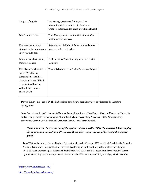| Not part of my job              | Increasingly people are finding out that             |
|---------------------------------|------------------------------------------------------|
|                                 | integrating Web use into the 'job' not only          |
|                                 | produces better results but it's more time efficient |
|                                 |                                                      |
| I don't have the time           | Time Management – use the Web little & often         |
|                                 | but for specific purposes                            |
|                                 |                                                      |
| There are just so many          | Read the rest of this book for recommendations       |
| different tools - how do you    | from other Soccer Coaches                            |
| know which to use?              |                                                      |
|                                 |                                                      |
| I am worried about spam,        | Look up 'Virus Protection' in your search engine     |
| computer viruses                | quickly!                                             |
|                                 |                                                      |
| There is too much material      | Then this book and our Online Course are for you!    |
| on the Web. It's too            |                                                      |
| complicated. I don't see        |                                                      |
| the point of it. It's difficult |                                                      |
| to understand how the           |                                                      |
| Web will help me as a           |                                                      |
| Soccer Coach                    |                                                      |
|                                 |                                                      |

Do you think you are too old? The best coaches have always been innovators as witnessed by these two 'youngsters:'

Jerry Panek, born in 1946, former US National Team player, former Head Soccer Coach at Marquette University and currently Director of Coaching for Milwaukee Kickers Soccer Club, Wisconsin, USA. Amongst many innovations Jerry started a Facebook Group for the 200+ coaches at his club.

#### *"I want 'my coaches' to get out of the system of using drills. I like them to teach how to play the game: communication with players the modern way - via email & Facebook network group"*

Tony Waiters, born 1937, former England International, coach at Liverpool FC and Head Coach for the Canadian National Team when they qualified for the FIFA World Cup in 1986 and the quarter finals of the Olympic Football Tournament in 1994. A National Staff Coach for NSCAA and US Soccer, founder of World of Soccer 4, Byte Size Coaching<sup>5</sup> and currently Technical Director of Cliff Avenue Soccer Club, Burnaby, British Columbia.

 $\overline{a}$ 

<sup>4</sup> <http://www.worldofsoccer.com/>

<sup>5</sup> <http://www.bytesizecoaching.com/>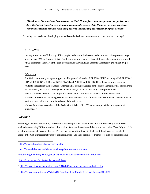#### *"The Soccer Club website has become the Club House for community soccer organizations! As a Technical Director working in a community soccer club, the internet now provides communication tools that have only become universally accepted in the past decade"*

So the biggest barriers to developing your skills on the Web are commitment and imagination …not age!

#### **7. The Web**

In 2013 it was reported<sup>6</sup> that 2.5 billion people in the world had access to the internet: this represents usage levels of over 66% in Europe, 80 % in North America and roughly a third of the world's population as a whole. KPCB estimated<sup>7</sup> that 34% of the total population of the world had access to the internet growing at 8% per year.

#### *Education*

The Web is now a very accepted support tool in general education. PERSONALISED learning with PERSONAL GOALS, PERSONALISED LEARNING PLANS and PERSONALISED FEEDBACK are common features students expect from their teachers. This trend has been accelerated as the role of the teacher has moved from an Instructor (the 'sage on the stage') to a Facilitator ('a guide on the side'). It is reported that:

- 97 % of schools in the EU<sup>8</sup> and 93 % of schools in the USA<sup>9</sup> have broadband internet connection
- In 2010 more than  $\frac{1}{4}$  of all high school students and over 20% of middle school students in the USA took at least one class online and these trends are likely to increase
- Music Education has embraced the Web. View this list of free Websites to support the development of musicians. 10

#### *Lifestyle*

According to eMarketer <sup>11</sup> in 2013 Americans – for example – will spend more time online or using computerized media than watching TV.From and our observation of current lifestyles and the data shown below (from July 2013), it is not unreasonable to assume that the Web has plays a significant part in the lives of the players you coach. In addition the Web is increasingly used to connect players (and their parents) to their soccer club for administrative

 $\overline{a}$ <sup>6</sup> <http://www.internetworldstats.com/stats.htm>

<sup>7</sup> <http://www.slideshare.net/kleinerperkins/kpcb-internet-trends-2013>

<sup>8</sup> <http://insight.eun.org/ww/en/pub/insight/policy/policies/benchmarking2006.htm>

<sup>&</sup>lt;sup>9</sup> <http://nces.ed.gov/fastfacts/display.asp?id=46>

<sup>&</sup>lt;sup>10</sup> <http://www.educatorstechnology.com/2012/08/free-teaching-music-websites.html>

<sup>11</sup> <http://www.emarketer.com/Article/US-Time-Spent-on-Mobile-Overtake-Desktop/1010095>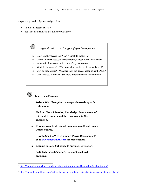purposes e.g. details of games and practices.

- 1.1 billion Facebook users<sup>12</sup>
- YouTube 1 billion users  $\&$  4 billion views a day<sup>13</sup>

Suggested Task 1: Try asking your players these questions

- 1. How do they access the Web? Via mobile, tablet, PC?
- 2. Where do they access the Web? Home, School, Work, on the move?
- 3. When do they access? What time of day? How often?
- 4. What do they access? –Which social networks are they members of?
- 5. Why do they access? What are their top 3 reasons for using the Web?
- 6. Who accesses the Web? are there different patterns in your team?

#### **Take Home Message**

 $\left| \Omega \right\rangle$ 

 $\overline{a}$ 

**To be a 'Web Champion' - an expert in coaching with technology:**

- **1. Find out More & Develop Knowledge: Read the rest of this book to understand the words used in Web education.**
- **2. Develop Your Professional Competences: Enroll on our Online Course.**

**'How to Use the Web to support Player Development' go t[o www.sportspath.com](http://www.sportspath.com/) for more details.**

**3. Keep up to Date: Subscribe to our free Newsletter.**

**N.B. To be a Web 'Victim'- you don't need to do anything!!**

<sup>&</sup>lt;sup>12</sup> <http://expandedramblings.com/index.php/by-the-numbers-17-amazing-facebook-stats/>

<sup>13</sup> <http://expandedramblings.com/index.php/by-the-numbers-a-gigantic-list-of-google-stats-and-facts/>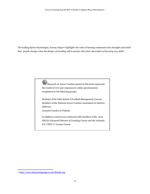The leading Sports Psychologist, Jeremy Snape<sup>14</sup> highlights the value of turning weaknesses into strengths and noted that: *'people change when the danger of standing still is greater than their discomfort of learning new skills.'*

> $\bigoplus$  Research of Soccer Coaches quoted in this book represents the results of over 500 responses to online questionnaires completion by the following groups:

- Students of the LMA School of Football Management Courses
- Members of the National Soccer Coaches Association of America (NSCAA)
- Licensed Coaches in Finland

In addition research was conducted with members of the 2013 NSCAA Advanced Director of Coaching Course and the Icelandic FA/ UEFA 'A' Licence Course

 $\overline{a}$ 

<sup>14</sup> <http://www.thesportingedge.co.uk/default.asp>